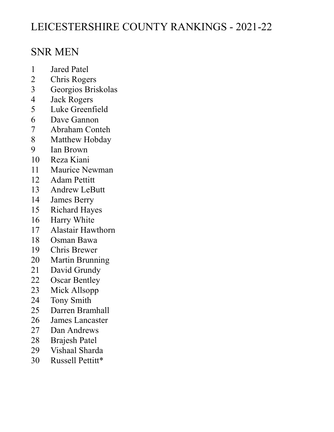# LEICESTERSHIRE COUNTY RANKINGS - 2021-22

### SNR MEN

- 1 Jared Patel<br>2 Chris Roge
- **Chris Rogers**
- 3 Georgios Briskolas
- 4 Jack Rogers
- 5 Luke Greenfield<br>6 Dave Gannon
- Dave Gannon
- 7 Abraham Conteh<br>8 Matthew Hobday
- Matthew Hobday
- 9 Ian Brown
- 10 Reza Kiani
- 11 Maurice Newman<br>12 Adam Pettitt
- Adam Pettitt
- 13 Andrew LeButt
- 14 James Berry
- 15 Richard Hayes
- 16 Harry White<br>17 Alastair Haw
- 17 Alastair Hawthorn
- 18 Osman Bawa<br>19 Chris Brewer
- Chris Brewer
- 20 Martin Brunning<br>21 David Grundy
- David Grundy
- 22 Oscar Bentley<br>23 Mick Allsopp
- Mick Allsopp
- 24 Tony Smith
- 25 Darren Bramhall
- 26 James Lancaster
- 27 Dan Andrews
- 28 Brajesh Patel<br>29 Vishaal Shard
- Vishaal Sharda
- 30 Russell Pettitt\*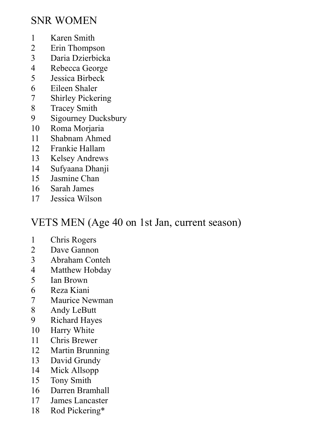### SNR WOMEN

- 1 Karen Smith
- 2 Erin Thompson<br>3 Daria Dzierbick
- 3 Daria Dzierbicka<br>4 Rebecca George
- Rebecca George
- 5 Jessica Birbeck
- 6 Eileen Shaler
- **Shirley Pickering**
- 8 Tracey Smith<br>9 Sigourney Du
- Sigourney Ducksbury
- 10 Roma Morjaria
- 11 Shabnam Ahmed
- 12 Frankie Hallam
- 13 Kelsey Andrews
- 14 Sufyaana Dhanji<br>15 Jasmine Chan
- Jasmine Chan
- 16 Sarah James
- 17 Jessica Wilson

## VETS MEN (Age 40 on 1st Jan, current season)

- 1 Chris Rogers
- 2 Dave Gannon<br>3 Abraham Con
- 3 Abraham Conteh
- 4 Matthew Hobday
- 5 Ian Brown<br>6 Reza Kiani
- 6 Reza Kiani
- 7 Maurice Newman
- 8 Andy LeButt
- 9 Richard Hayes
- 10 Harry White
- 11 Chris Brewer
- 12 Martin Brunning
- 13 David Grundy
- 14 Mick Allsopp
- 15 Tony Smith
- 16 Darren Bramhall
- 17 James Lancaster
- 18 Rod Pickering\*